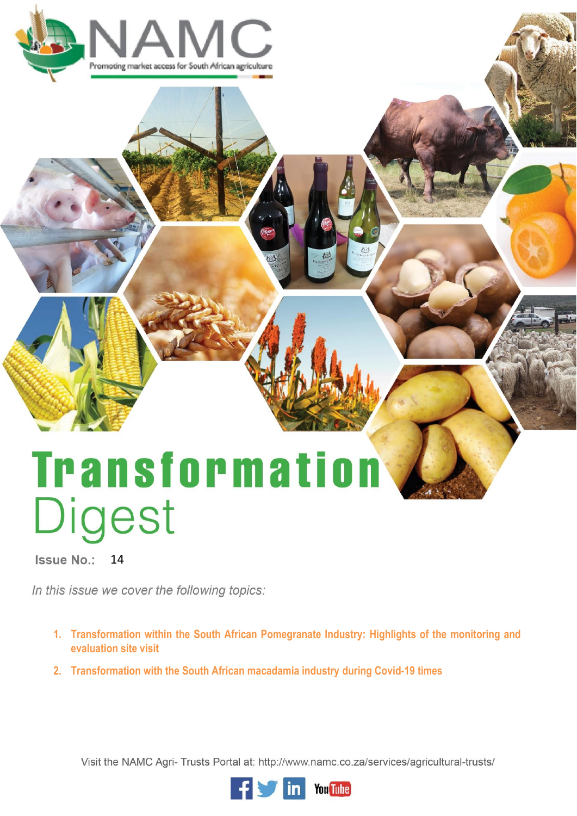

# **Transformation** Digest

Issue No.: 14

In this issue we cover the following topics:

- **1. Transformation within the South African Pomegranate Industry: Highlights of the monitoring and evaluation site visit**
- **2. Transformation with the South African macadamia industry during Covid-19 times**

Visit the NAMC Agri- Trusts Portal at: http://www.namc.co.za/services/agricultural-trusts/

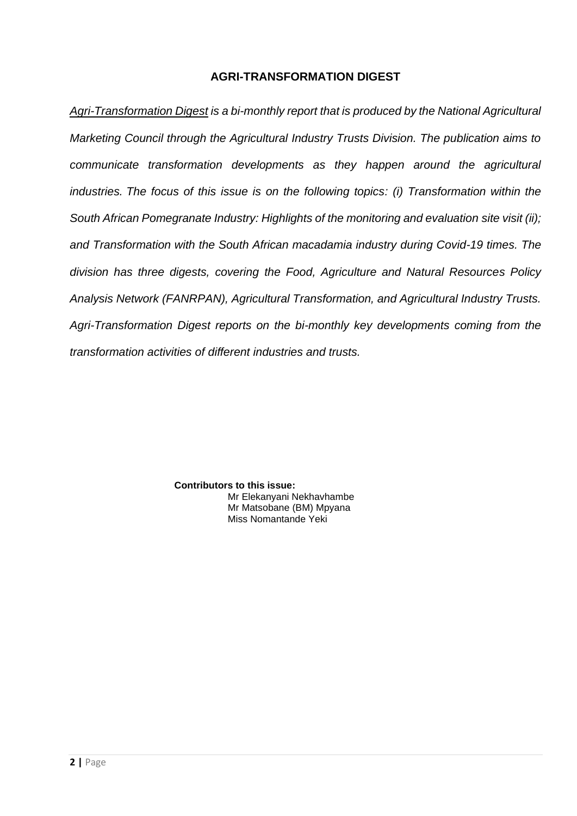# **AGRI-TRANSFORMATION DIGEST**

*Agri-Transformation Digest is a bi-monthly report that is produced by the National Agricultural Marketing Council through the Agricultural Industry Trusts Division. The publication aims to communicate transformation developments as they happen around the agricultural industries. The focus of this issue is on the following topics: (i) Transformation within the South African Pomegranate Industry: Highlights of the monitoring and evaluation site visit (ii); and Transformation with the South African macadamia industry during Covid-19 times. The division has three digests, covering the Food, Agriculture and Natural Resources Policy Analysis Network (FANRPAN), Agricultural Transformation, and Agricultural Industry Trusts. Agri-Transformation Digest reports on the bi-monthly key developments coming from the transformation activities of different industries and trusts.* 

> **Contributors to this issue:** Mr Elekanyani Nekhavhambe Mr Matsobane (BM) Mpyana Miss Nomantande Yeki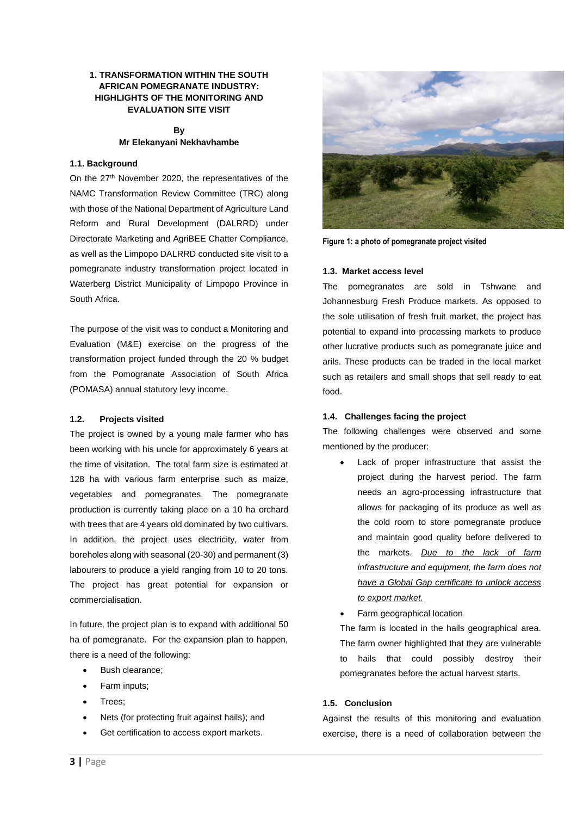## **1. TRANSFORMATION WITHIN THE SOUTH AFRICAN POMEGRANATE INDUSTRY: HIGHLIGHTS OF THE MONITORING AND EVALUATION SITE VISIT**

#### **By Mr Elekanyani Nekhavhambe**

## **1.1. Background**

On the 27<sup>th</sup> November 2020, the representatives of the NAMC Transformation Review Committee (TRC) along with those of the National Department of Agriculture Land Reform and Rural Development (DALRRD) under Directorate Marketing and AgriBEE Chatter Compliance, as well as the Limpopo DALRRD conducted site visit to a pomegranate industry transformation project located in Waterberg District Municipality of Limpopo Province in South Africa.

The purpose of the visit was to conduct a Monitoring and Evaluation (M&E) exercise on the progress of the transformation project funded through the 20 % budget from the Pomogranate Association of South Africa (POMASA) annual statutory levy income.

### **1.2. Projects visited**

The project is owned by a young male farmer who has been working with his uncle for approximately 6 years at the time of visitation. The total farm size is estimated at 128 ha with various farm enterprise such as maize, vegetables and pomegranates. The pomegranate production is currently taking place on a 10 ha orchard with trees that are 4 years old dominated by two cultivars. In addition, the project uses electricity, water from boreholes along with seasonal (20-30) and permanent (3) labourers to produce a yield ranging from 10 to 20 tons. The project has great potential for expansion or commercialisation.

In future, the project plan is to expand with additional 50 ha of pomegranate. For the expansion plan to happen, there is a need of the following:

- Bush clearance;
- Farm inputs;
- Trees;
- Nets (for protecting fruit against hails); and
- Get certification to access export markets.



**Figure 1: a photo of pomegranate project visited** 

### **1.3. Market access level**

The pomegranates are sold in Tshwane and Johannesburg Fresh Produce markets. As opposed to the sole utilisation of fresh fruit market, the project has potential to expand into processing markets to produce other lucrative products such as pomegranate juice and arils. These products can be traded in the local market such as retailers and small shops that sell ready to eat food.

### **1.4. Challenges facing the project**

The following challenges were observed and some mentioned by the producer:

- Lack of proper infrastructure that assist the project during the harvest period. The farm needs an agro-processing infrastructure that allows for packaging of its produce as well as the cold room to store pomegranate produce and maintain good quality before delivered to the markets. *Due to the lack of farm infrastructure and equipment, the farm does not have a Global Gap certificate to unlock access to export market.*
- Farm geographical location

The farm is located in the hails geographical area. The farm owner highlighted that they are vulnerable to hails that could possibly destroy their pomegranates before the actual harvest starts.

## **1.5. Conclusion**

Against the results of this monitoring and evaluation exercise, there is a need of collaboration between the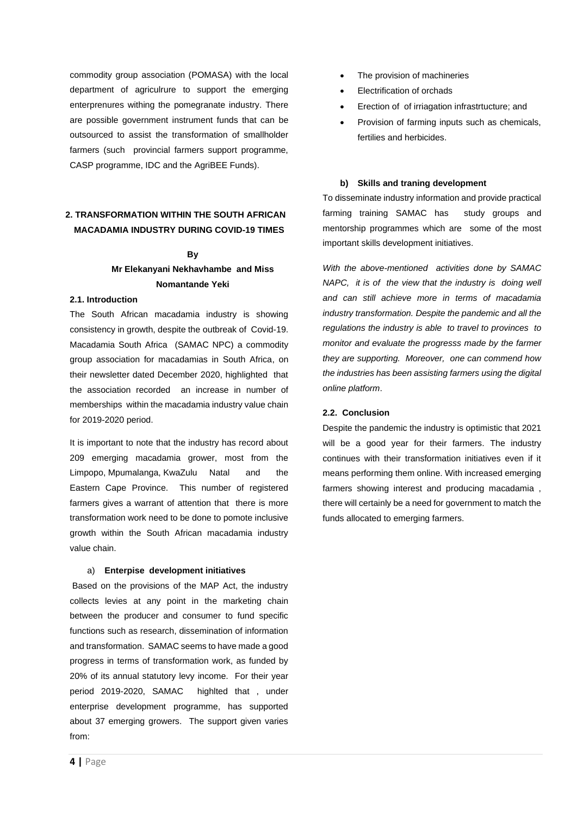commodity group association (POMASA) with the local department of agriculrure to support the emerging enterprenures withing the pomegranate industry. There are possible government instrument funds that can be outsourced to assist the transformation of smallholder farmers (such provincial farmers support programme, CASP programme, IDC and the AgriBEE Funds).

# **2. TRANSFORMATION WITHIN THE SOUTH AFRICAN MACADAMIA INDUSTRY DURING COVID-19 TIMES**

# **By Mr Elekanyani Nekhavhambe and Miss Nomantande Yeki**

#### **2.1. Introduction**

The South African macadamia industry is showing consistency in growth, despite the outbreak of Covid-19. Macadamia South Africa (SAMAC NPC) a commodity group association for macadamias in South Africa, on their newsletter dated December 2020, highlighted that the association recorded an increase in number of memberships within the macadamia industry value chain for 2019-2020 period.

It is important to note that the industry has record about 209 emerging macadamia grower, most from the Limpopo, Mpumalanga, KwaZulu Natal and the Eastern Cape Province. This number of registered farmers gives a warrant of attention that there is more transformation work need to be done to pomote inclusive growth within the South African macadamia industry value chain.

#### a) **Enterpise development initiatives**

Based on the provisions of the MAP Act, the industry collects levies at any point in the marketing chain between the producer and consumer to fund specific functions such as research, dissemination of information and transformation. SAMAC seems to have made a good progress in terms of transformation work, as funded by 20% of its annual statutory levy income. For their year period 2019-2020, SAMAC highlted that , under enterprise development programme, has supported about 37 emerging growers. The support given varies from:

- The provision of machineries
- Electrification of orchads
- Erection of of irriagation infrastrtucture; and
- Provision of farming inputs such as chemicals, fertilies and herbicides.

#### **b) Skills and traning development**

To disseminate industry information and provide practical farming training SAMAC has study groups and mentorship programmes which are some of the most important skills development initiatives.

*With the above-mentioned activities done by SAMAC NAPC, it is of the view that the industry is doing well and can still achieve more in terms of macadamia industry transformation. Despite the pandemic and all the regulations the industry is able to travel to provinces to monitor and evaluate the progresss made by the farmer they are supporting. Moreover, one can commend how the industries has been assisting farmers using the digital online platform*.

#### **2.2. Conclusion**

Despite the pandemic the industry is optimistic that 2021 will be a good year for their farmers. The industry continues with their transformation initiatives even if it means performing them online. With increased emerging farmers showing interest and producing macadamia , there will certainly be a need for government to match the funds allocated to emerging farmers.